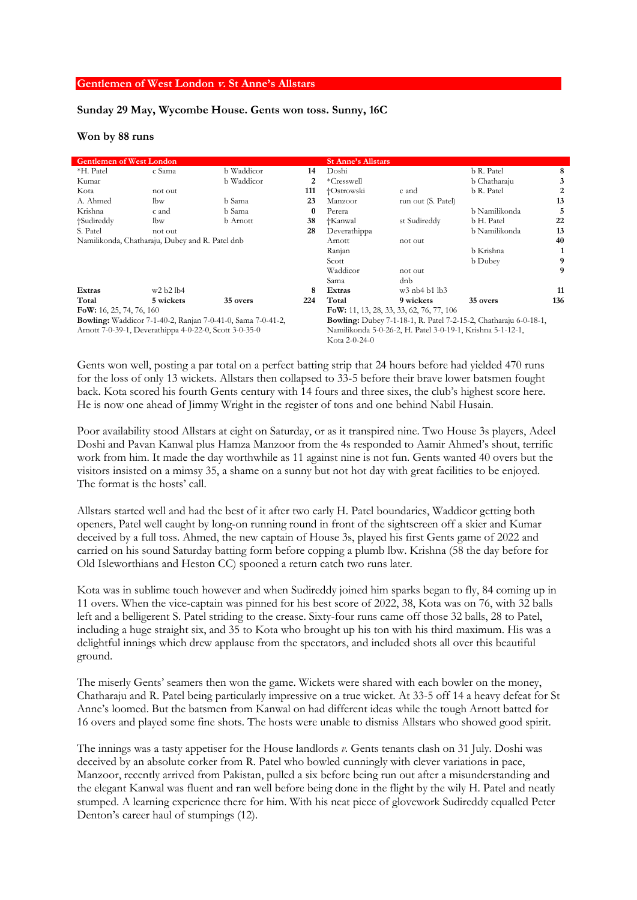## **Gentlemen of West London v. St Anne's Allstars**

## **Sunday 29 May, Wycombe House. Gents won toss. Sunny, 16C**

## **Won by 88 runs**

| <b>Gentlemen of West London</b>                                    |           |                 |          | <b>St Anne's Allstars</b>                                               |                    |                |                |
|--------------------------------------------------------------------|-----------|-----------------|----------|-------------------------------------------------------------------------|--------------------|----------------|----------------|
| *H. Patel                                                          | c Sama    | b Waddicor      | 14       | Doshi                                                                   |                    | b R. Patel     | 8              |
| Kumar                                                              |           | b Waddicor      | 2        | *Cresswell                                                              |                    | b Chatharaju   | 3              |
| Kota                                                               | not out   |                 | 111      | †Ostrowski                                                              | c and              | b R. Patel     | $\overline{2}$ |
| A. Ahmed                                                           | lbw       | b Sama          | 23       | Manzoor                                                                 | run out (S. Patel) |                | 13             |
| Krishna                                                            | c and     | b Sama          | $\bf{0}$ | Perera                                                                  |                    | b Namilikonda  | 5              |
| †Sudireddy                                                         | lbw       | <b>b</b> Arnott | 38       | †Kanwal                                                                 | st Sudireddy       | b H. Patel     | 22             |
| S. Patel                                                           | not out   |                 | 28       | Deverathippa                                                            |                    | b Namilikonda  | 13             |
| Namilikonda, Chatharaju, Dubey and R. Patel dnb                    |           |                 |          | Arnott                                                                  | not out            |                | 40             |
|                                                                    |           |                 |          | Ranjan                                                                  |                    | b Krishna      |                |
|                                                                    |           |                 |          | Scott                                                                   |                    | <b>b</b> Dubey | 9              |
|                                                                    |           |                 |          | Waddicor                                                                | not out            |                | 9              |
|                                                                    |           |                 |          | Sama                                                                    | dnb                |                |                |
| Extras                                                             | w2 b2 lb4 |                 | 8        | Extras                                                                  | $w3$ nb4 b1 lb3    |                | 11             |
| Total                                                              | 5 wickets | 35 overs        | 224      | Total                                                                   | 9 wickets          | 35 overs       | 136            |
| FoW: 16, 25, 74, 76, 160                                           |           |                 |          | FoW: 11, 13, 28, 33, 33, 62, 76, 77, 106                                |                    |                |                |
| <b>Bowling:</b> Waddicor 7-1-40-2, Ranjan 7-0-41-0, Sama 7-0-41-2, |           |                 |          | <b>Bowling:</b> Dubey 7-1-18-1, R. Patel 7-2-15-2, Chatharaju 6-0-18-1, |                    |                |                |
| Arnott 7-0-39-1, Deverathippa 4-0-22-0, Scott 3-0-35-0             |           |                 |          | Namilikonda 5-0-26-2, H. Patel 3-0-19-1, Krishna 5-1-12-1,              |                    |                |                |
|                                                                    |           |                 |          | Kota 2-0-24-0                                                           |                    |                |                |

Gents won well, posting a par total on a perfect batting strip that 24 hours before had yielded 470 runs for the loss of only 13 wickets. Allstars then collapsed to 33-5 before their brave lower batsmen fought back. Kota scored his fourth Gents century with 14 fours and three sixes, the club's highest score here. He is now one ahead of Jimmy Wright in the register of tons and one behind Nabil Husain.

Poor availability stood Allstars at eight on Saturday, or as it transpired nine. Two House 3s players, Adeel Doshi and Pavan Kanwal plus Hamza Manzoor from the 4s responded to Aamir Ahmed's shout, terrific work from him. It made the day worthwhile as 11 against nine is not fun. Gents wanted 40 overs but the visitors insisted on a mimsy 35, a shame on a sunny but not hot day with great facilities to be enjoyed. The format is the hosts' call.

Allstars started well and had the best of it after two early H. Patel boundaries, Waddicor getting both openers, Patel well caught by long-on running round in front of the sightscreen off a skier and Kumar deceived by a full toss. Ahmed, the new captain of House 3s, played his first Gents game of 2022 and carried on his sound Saturday batting form before copping a plumb lbw. Krishna (58 the day before for Old Isleworthians and Heston CC) spooned a return catch two runs later.

Kota was in sublime touch however and when Sudireddy joined him sparks began to fly, 84 coming up in 11 overs. When the vice-captain was pinned for his best score of 2022, 38, Kota was on 76, with 32 balls left and a belligerent S. Patel striding to the crease. Sixty-four runs came off those 32 balls, 28 to Patel, including a huge straight six, and 35 to Kota who brought up his ton with his third maximum. His was a delightful innings which drew applause from the spectators, and included shots all over this beautiful ground.

The miserly Gents' seamers then won the game. Wickets were shared with each bowler on the money, Chatharaju and R. Patel being particularly impressive on a true wicket. At 33-5 off 14 a heavy defeat for St Anne's loomed. But the batsmen from Kanwal on had different ideas while the tough Arnott batted for 16 overs and played some fine shots. The hosts were unable to dismiss Allstars who showed good spirit.

The innings was a tasty appetiser for the House landlords *v.* Gents tenants clash on 31 July. Doshi was deceived by an absolute corker from R. Patel who bowled cunningly with clever variations in pace, Manzoor, recently arrived from Pakistan, pulled a six before being run out after a misunderstanding and the elegant Kanwal was fluent and ran well before being done in the flight by the wily H. Patel and neatly stumped. A learning experience there for him. With his neat piece of glovework Sudireddy equalled Peter Denton's career haul of stumpings (12).